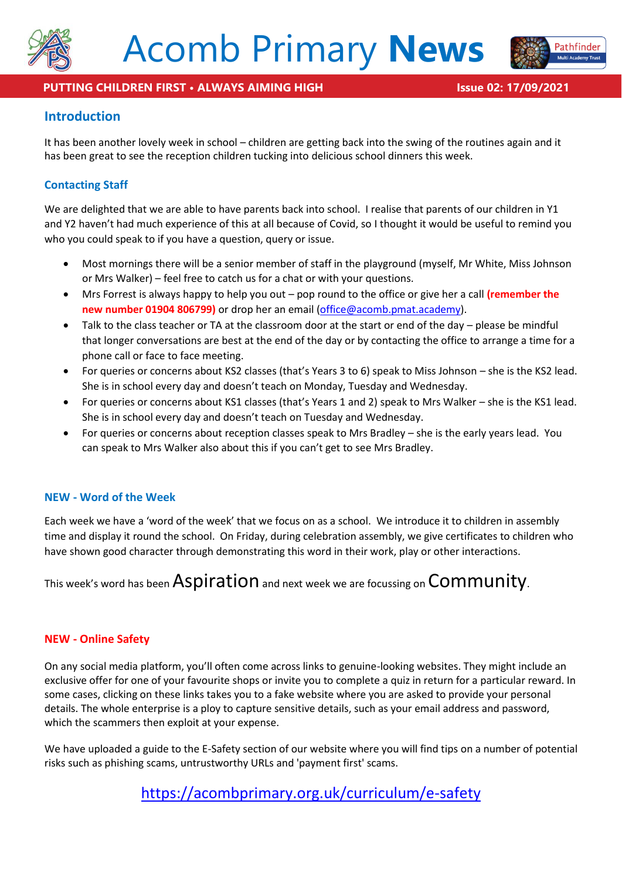



Pathfinder

# **Introduction**

It has been another lovely week in school – children are getting back into the swing of the routines again and it has been great to see the reception children tucking into delicious school dinners this week.

# **Contacting Staff**

We are delighted that we are able to have parents back into school. I realise that parents of our children in Y1 and Y2 haven't had much experience of this at all because of Covid, so I thought it would be useful to remind you who you could speak to if you have a question, query or issue.

- Most mornings there will be a senior member of staff in the playground (myself, Mr White, Miss Johnson or Mrs Walker) – feel free to catch us for a chat or with your questions.
- Mrs Forrest is always happy to help you out pop round to the office or give her a call **(remember the new number 01904 806799)** or drop her an email [\(office@acomb.pmat.academy\)](mailto:office@acomb.pmat.academy).
- Talk to the class teacher or TA at the classroom door at the start or end of the day please be mindful that longer conversations are best at the end of the day or by contacting the office to arrange a time for a phone call or face to face meeting.
- For queries or concerns about KS2 classes (that's Years 3 to 6) speak to Miss Johnson she is the KS2 lead. She is in school every day and doesn't teach on Monday, Tuesday and Wednesday.
- For queries or concerns about KS1 classes (that's Years 1 and 2) speak to Mrs Walker she is the KS1 lead. She is in school every day and doesn't teach on Tuesday and Wednesday.
- For queries or concerns about reception classes speak to Mrs Bradley she is the early years lead. You can speak to Mrs Walker also about this if you can't get to see Mrs Bradley.

# **NEW - Word of the Week**

Each week we have a 'word of the week' that we focus on as a school. We introduce it to children in assembly time and display it round the school. On Friday, during celebration assembly, we give certificates to children who have shown good character through demonstrating this word in their work, play or other interactions.

This week's word has been  $\overline{Aspiration}$  and next week we are focussing on  ${\rm \mathsf{Community}}$ .

# **NEW - Online Safety**

On any social media platform, you'll often come across links to genuine-looking websites. They might include an exclusive offer for one of your favourite shops or invite you to complete a quiz in return for a particular reward. In some cases, clicking on these links takes you to a fake website where you are asked to provide your personal details. The whole enterprise is a ploy to capture sensitive details, such as your email address and password, which the scammers then exploit at your expense.

We have uploaded a guide to the E-Safety section of our website where you will find tips on a number of potential risks such as phishing scams, untrustworthy URLs and 'payment first' scams.

# <https://acombprimary.org.uk/curriculum/e-safety>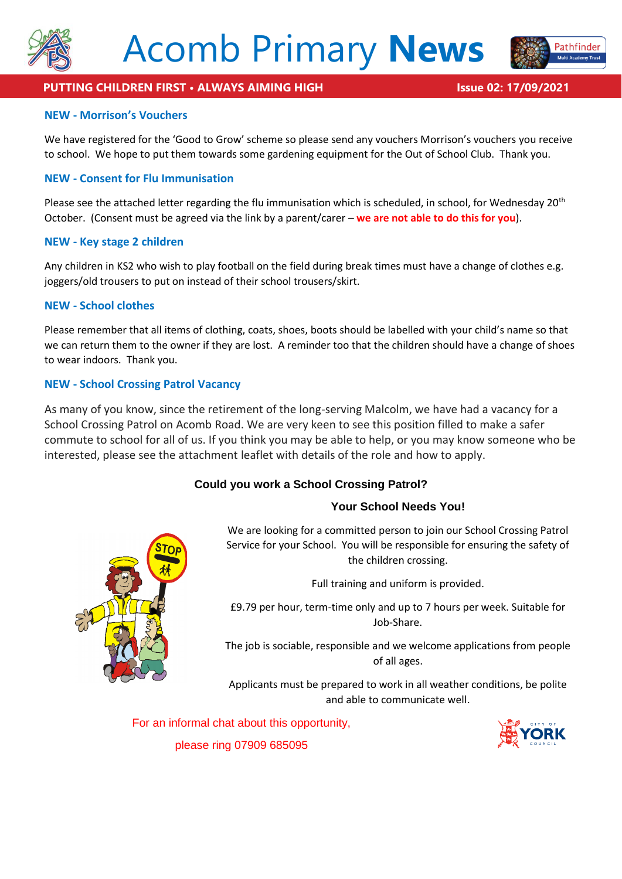



Pathfinder

#### **NEW - Morrison's Vouchers**

We have registered for the 'Good to Grow' scheme so please send any vouchers Morrison's vouchers you receive to school. We hope to put them towards some gardening equipment for the Out of School Club. Thank you.

#### **NEW - Consent for Flu Immunisation**

Please see the attached letter regarding the flu immunisation which is scheduled, in school, for Wednesday 20<sup>th</sup> October. (Consent must be agreed via the link by a parent/carer – **we are not able to do this for you**).

#### **NEW - Key stage 2 children**

Any children in KS2 who wish to play football on the field during break times must have a change of clothes e.g. joggers/old trousers to put on instead of their school trousers/skirt.

#### **NEW - School clothes**

Please remember that all items of clothing, coats, shoes, boots should be labelled with your child's name so that we can return them to the owner if they are lost. A reminder too that the children should have a change of shoes to wear indoors. Thank you.

#### **NEW - School Crossing Patrol Vacancy**

As many of you know, since the retirement of the long-serving Malcolm, we have had a vacancy for a School Crossing Patrol on Acomb Road. We are very keen to see this position filled to make a safer commute to school for all of us. If you think you may be able to help, or you may know someone who be interested, please see the attachment leaflet with details of the role and how to apply.

# **Could you work a School Crossing Patrol?**

#### **Your School Needs You!**

We are looking for a committed person to join our School Crossing Patrol Service for your School. You will be responsible for ensuring the safety of the children crossing.

Full training and uniform is provided.

£9.79 per hour, term-time only and up to 7 hours per week. Suitable for Job-Share.

The job is sociable, responsible and we welcome applications from people of all ages.

Applicants must be prepared to work in all weather conditions, be polite and able to communicate well.

For an informal chat about this opportunity,



please ring 07909 685095

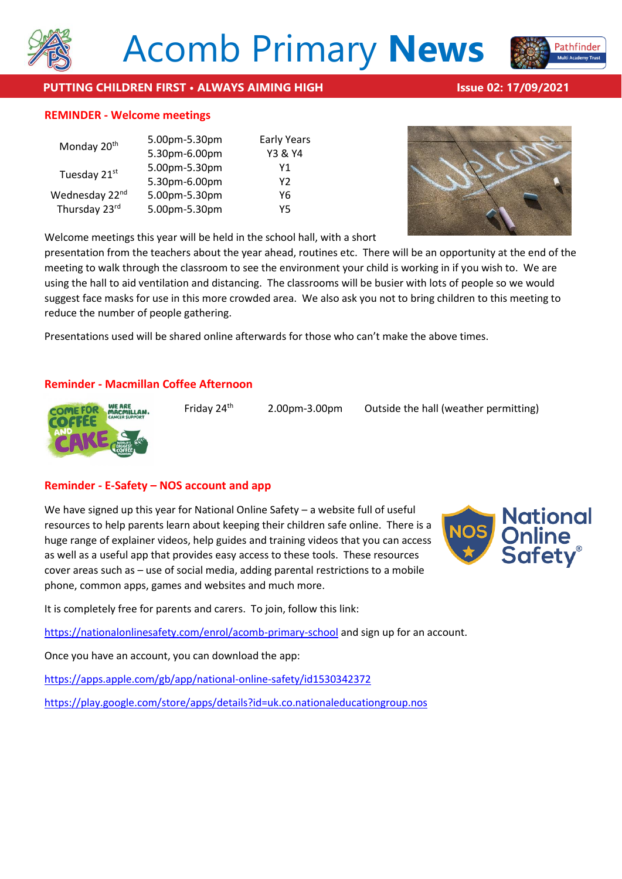

# **PUTTING CHILDREN FIRST • ALWAYS AIMING HIGH Issue 02: 17/09/2021**

#### **REMINDER - Welcome meetings**

| Monday 20 <sup>th</sup>    | 5.00pm-5.30pm | <b>Early Years</b> |
|----------------------------|---------------|--------------------|
|                            | 5.30pm-6.00pm | Y3 & Y4            |
| Tuesday 21st               | 5.00pm-5.30pm | Υ1                 |
|                            | 5.30pm-6.00pm | Υ2                 |
| Wednesday 22 <sup>nd</sup> | 5.00pm-5.30pm | Υ6                 |
| Thursday 23rd              | 5.00pm-5.30pm | Y5                 |

Welcome meetings this year will be held in the school hall, with a short

presentation from the teachers about the year ahead, routines etc. There will be an opportunity at the end of the meeting to walk through the classroom to see the environment your child is working in if you wish to. We are using the hall to aid ventilation and distancing. The classrooms will be busier with lots of people so we would suggest face masks for use in this more crowded area. We also ask you not to bring children to this meeting to reduce the number of people gathering.

Presentations used will be shared online afterwards for those who can't make the above times.

# **Reminder - Macmillan Coffee Afternoon**



Friday  $24<sup>th</sup>$  2.00pm-3.00pm Outside the hall (weather permitting)

# **Reminder - E-Safety – NOS account and app**

We have signed up this year for National Online Safety – a website full of useful resources to help parents learn about keeping their children safe online. There is a huge range of explainer videos, help guides and training videos that you can access as well as a useful app that provides easy access to these tools. These resources cover areas such as – use of social media, adding parental restrictions to a mobile phone, common apps, games and websites and much more.



It is completely free for parents and carers. To join, follow this link:

<https://nationalonlinesafety.com/enrol/acomb-primary-school> and sign up for an account.

Once you have an account, you can download the app:

<https://apps.apple.com/gb/app/national-online-safety/id1530342372>

<https://play.google.com/store/apps/details?id=uk.co.nationaleducationgroup.nos>